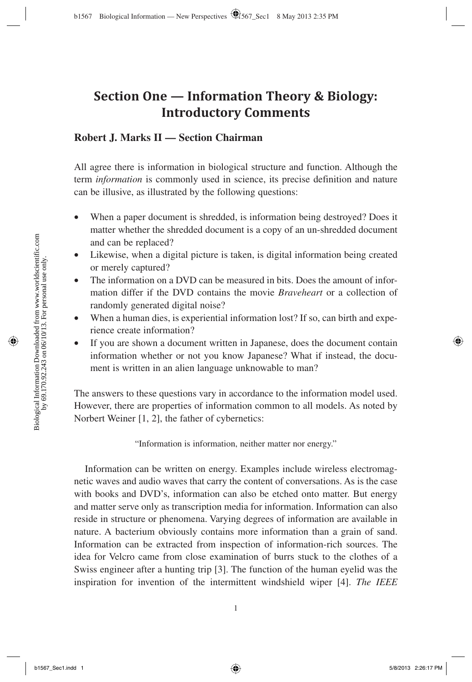# **Section One — Information Theory & Biology: Introductory Comments**

## **Robert J. Marks II — Section Chairman**

All agree there is information in biological structure and function. Although the term *information* is commonly used in science, its precise definition and nature can be illusive, as illustrated by the following questions:

- When a paper document is shredded, is information being destroyed? Does it matter whether the shredded document is a copy of an un-shredded document and can be replaced?
- Likewise, when a digital picture is taken, is digital information being created or merely captured?
- The information on a DVD can be measured in bits. Does the amount of information differ if the DVD contains the movie *Braveheart* or a collection of randomly generated digital noise?
- When a human dies, is experiential information lost? If so, can birth and experience create information?
- If you are shown a document written in Japanese, does the document contain information whether or not you know Japanese? What if instead, the document is written in an alien language unknowable to man?

The answers to these questions vary in accordance to the information model used. However, there are properties of information common to all models. As noted by Norbert Weiner [1, 2], the father of cybernetics:

"Information is information, neither matter nor energy."

Information can be written on energy. Examples include wireless electromagnetic waves and audio waves that carry the content of conversations. As is the case with books and DVD's, information can also be etched onto matter. But energy and matter serve only as transcription media for information. Information can also reside in structure or phenomena. Varying degrees of information are available in nature. A bacterium obviously contains more information than a grain of sand. Information can be extracted from inspection of information-rich sources. The idea for Velcro came from close examination of burrs stuck to the clothes of a Swiss engineer after a hunting trip [3]. The function of the human eyelid was the inspiration for invention of the intermittent windshield wiper [4]. *The IEEE*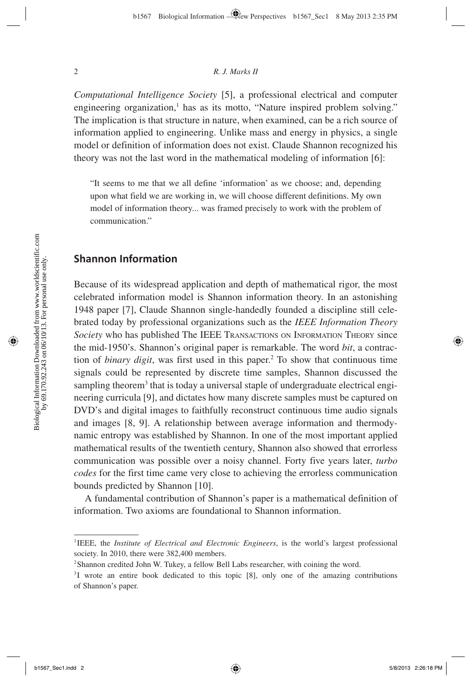#### 2 *R. J. Marks II*

*Computational Intelligence Society* [5], a professional electrical and computer engineering organization, $<sup>1</sup>$  has as its motto, "Nature inspired problem solving."</sup> The implication is that structure in nature, when examined, can be a rich source of information applied to engineering. Unlike mass and energy in physics, a single model or definition of information does not exist. Claude Shannon recognized his theory was not the last word in the mathematical modeling of information [6]:

"It seems to me that we all define 'information' as we choose; and, depending upon what field we are working in, we will choose different definitions. My own model of information theory... was framed precisely to work with the problem of communication."

## **Shannon Information**

Because of its widespread application and depth of mathematical rigor, the most celebrated information model is Shannon information theory. In an astonishing 1948 paper [7], Claude Shannon single-handedly founded a discipline still celebrated today by professional organizations such as the *IEEE Information Theory Society* who has published The IEEE TRANSACTIONS ON INFORMATION THEORY since the mid-1950's. Shannon's original paper is remarkable. The word *bit*, a contraction of *binary digit*, was first used in this paper.<sup>2</sup> To show that continuous time signals could be represented by discrete time samples, Shannon discussed the sampling theorem<sup>3</sup> that is today a universal staple of undergraduate electrical engineering curricula [9], and dictates how many discrete samples must be captured on DVD's and digital images to faithfully reconstruct continuous time audio signals and images [8, 9]. A relationship between average information and thermodynamic entropy was established by Shannon. In one of the most important applied mathematical results of the twentieth century, Shannon also showed that errorless communication was possible over a noisy channel. Forty five years later, *turbo codes* for the first time came very close to achieving the errorless communication bounds predicted by Shannon [10].

A fundamental contribution of Shannon's paper is a mathematical definition of information. Two axioms are foundational to Shannon information.

<sup>1</sup> IEEE, the *Institute of Electrical and Electronic Engineers*, is the world's largest professional society. In 2010, there were 382,400 members.

<sup>&</sup>lt;sup>2</sup> Shannon credited John W. Tukey, a fellow Bell Labs researcher, with coining the word.

<sup>&</sup>lt;sup>3</sup>I wrote an entire book dedicated to this topic [8], only one of the amazing contributions of Shannon's paper.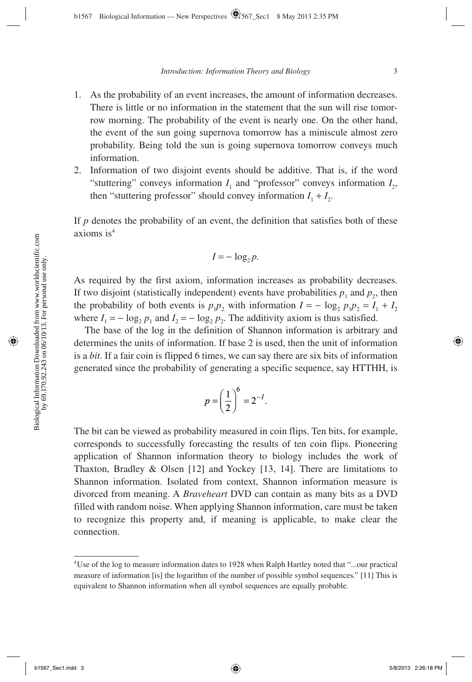- 1. As the probability of an event increases, the amount of information decreases. There is little or no information in the statement that the sun will rise tomorrow morning. The probability of the event is nearly one. On the other hand, the event of the sun going supernova tomorrow has a miniscule almost zero probability. Being told the sun is going supernova tomorrow conveys much information.
- 2. Information of two disjoint events should be additive. That is, if the word "stuttering" conveys information  $I_1$  and "professor" conveys information  $I_2$ , then "stuttering professor" should convey information  $I_1 + I_2$ .

If  $p$  denotes the probability of an event, the definition that satisfies both of these axioms is4

$$
I=-\log_2 p.
$$

As required by the first axiom, information increases as probability decreases. If two disjoint (statistically independent) events have probabilities  $p_1$  and  $p_2$ , then the probability of both events is  $p_1p_2$  with information  $I = -\log_2 p_1p_2 = I_1 + I_2$ where  $I_1 = -\log_2 p_1$  and  $I_2 = -\log_2 p_2$ . The additivity axiom is thus satisfied.

The base of the log in the definition of Shannon information is arbitrary and determines the units of information. If base 2 is used, then the unit of information is a *bit*. If a fair coin is flipped 6 times, we can say there are six bits of information generated since the probability of generating a specific sequence, say HTTHH, is

$$
p = \left(\frac{1}{2}\right)^6 = 2^{-I}.
$$

The bit can be viewed as probability measured in coin flips. Ten bits, for example, corresponds to successfully forecasting the results of ten coin flips. Pioneering application of Shannon information theory to biology includes the work of Thaxton, Bradley & Olsen  $[12]$  and Yockey  $[13, 14]$ . There are limitations to Shannon information. Isolated from context, Shannon information measure is divorced from meaning. A *Braveheart* DVD can contain as many bits as a DVD filled with random noise. When applying Shannon information, care must be taken to recognize this property and, if meaning is applicable, to make clear the connection.

<sup>4</sup> Use of the log to measure information dates to 1928 when Ralph Hartley noted that "...our practical measure of information [is] the logarithm of the number of possible symbol sequences." [11] This is equivalent to Shannon information when all symbol sequences are equally probable.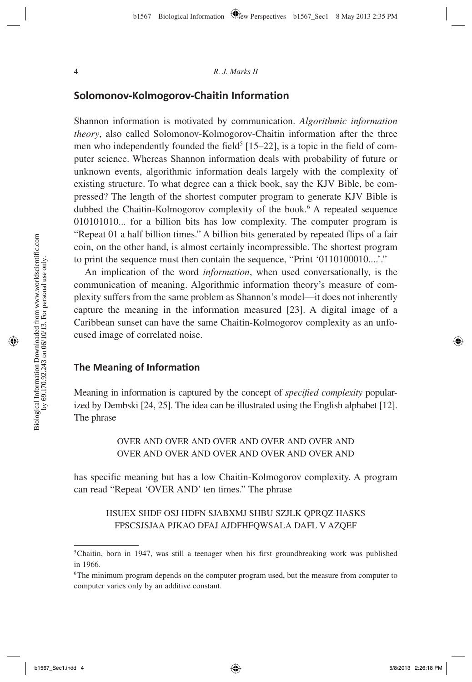### **Solomonov-Kolmogorov-Chaitin Information**

Shannon information is motivated by communication. *Algorithmic information theory*, also called Solomonov-Kolmogorov-Chaitin information after the three men who independently founded the field<sup>5</sup> [15–22], is a topic in the field of computer science. Whereas Shannon information deals with probability of future or unknown events, algorithmic information deals largely with the complexity of existing structure. To what degree can a thick book, say the KJV Bible, be compressed? The length of the shortest computer program to generate KJV Bible is dubbed the Chaitin-Kolmogorov complexity of the book.<sup>6</sup> A repeated sequence 010101010... for a billion bits has low complexity. The computer program is "Repeat 01 a half billion times." A billion bits generated by repeated flips of a fair coin, on the other hand, is almost certainly incompressible. The shortest program to print the sequence must then contain the sequence, "Print '0110100010....'."

An implication of the word *information*, when used conversationally, is the communication of meaning. Algorithmic information theory's measure of complexity suffers from the same problem as Shannon's model—it does not inherently capture the meaning in the information measured [23]. A digital image of a Caribbean sunset can have the same Chaitin-Kolmogorov complexity as an unfocused image of correlated noise.

#### **The Meaning of Informati on**

Meaning in information is captured by the concept of *specified complexity* popularized by Dembski [24, 25]. The idea can be illustrated using the English alphabet [12]. The phrase

> OVER AND OVER AND OVER AND OVER AND OVER AND OVER AND OVER AND OVER AND OVER AND OVER AND

has specific meaning but has a low Chaitin-Kolmogorov complexity. A program can read "Repeat 'OVER AND' ten times." The phrase

## HSUEX SHDF OSJ HDFN SJABXMJ SHBU SZJLK QPRQZ HASKS FPSCSJSJAA PJKAO DFAJ AJDFHFQWSALA DAFL V AZQEF

<sup>&</sup>lt;sup>5</sup> Chaitin, born in 1947, was still a teenager when his first groundbreaking work was published in 1966.

<sup>6</sup> The minimum program depends on the computer program used, but the measure from computer to computer varies only by an additive constant.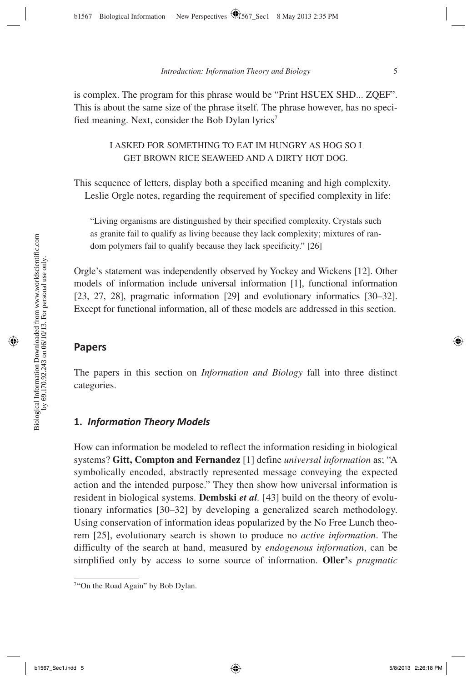is complex. The program for this phrase would be "Print HSUEX SHD... ZQEF". This is about the same size of the phrase itself. The phrase however, has no specified meaning. Next, consider the Bob Dylan lyrics<sup>7</sup>

> I ASKED FOR SOMETHING TO EAT IM HUNGRY AS HOG SO I GET BROWN RICE SEAWEED AND A DIRTY HOT DOG.

This sequence of letters, display both a specified meaning and high complexity. Leslie Orgle notes, regarding the requirement of specified complexity in life:

"Living organisms are distinguished by their specified complexity. Crystals such as granite fail to qualify as living because they lack complexity; mixtures of random polymers fail to qualify because they lack specificity." [26]

Orgle's statement was independently observed by Yockey and Wickens [12]. Other models of information include universal information [1], functional information [23, 27, 28], pragmatic information [29] and evolutionary informatics [30–32]. Except for functional information, all of these models are addressed in this section.

#### **Papers**

The papers in this section on *Information and Biology* fall into three distinct categories.

#### **1.** *Informati on Theory Models*

How can information be modeled to reflect the information residing in biological systems? **Gitt, Compton and Fernandez** [1] define *universal information* as; "A symbolically encoded, abstractly represented message conveying the expected action and the intended purpose." They then show how universal information is resident in biological systems. **Dembski** *et al.* [43] build on the theory of evolutionary informatics [30–32] by developing a generalized search methodology. Using conservation of information ideas popularized by the No Free Lunch theorem [25], evolutionary search is shown to produce no *active information*. The difficulty of the search at hand, measured by *endogenous information*, can be simplified only by access to some source of information. **Oller'**s *pragmatic* 

<sup>&</sup>lt;sup>7</sup>"On the Road Again" by Bob Dylan.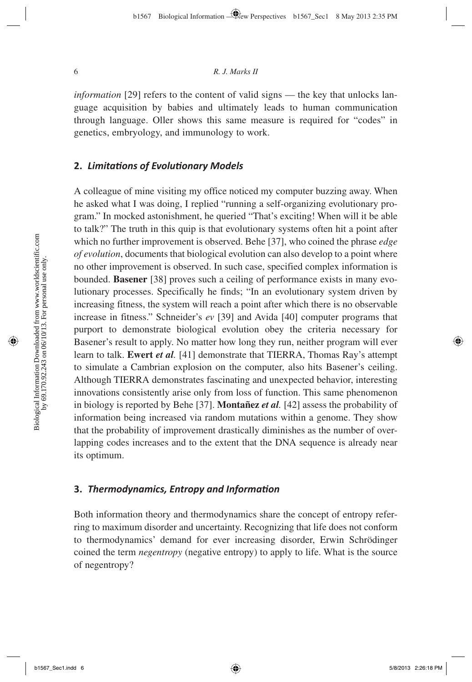*information* [29] refers to the content of valid signs — the key that unlocks language acquisition by babies and ultimately leads to human communication through language. Oller shows this same measure is required for "codes" in genetics, embryology, and immunology to work.

#### **2.** *Limitati ons of Evoluti onary Models*

A colleague of mine visiting my office noticed my computer buzzing away. When he asked what I was doing, I replied "running a self-organizing evolutionary program." In mocked astonishment, he queried "That's exciting! When will it be able to talk?" The truth in this quip is that evolutionary systems often hit a point after which no further improvement is observed. Behe [37], who coined the phrase *edge of evolution*, documents that biological evolution can also develop to a point where no other improvement is observed. In such case, specified complex information is bounded. **Basener** [38] proves such a ceiling of performance exists in many evolutionary processes. Specifically he finds; "In an evolutionary system driven by increasing fitness, the system will reach a point after which there is no observable increase in fitness." Schneider's *ev* [39] and Avida [40] computer programs that purport to demonstrate biological evolution obey the criteria necessary for Basener's result to apply. No matter how long they run, neither program will ever learn to talk. **Ewert** *et al.* [41] demonstrate that TIERRA, Thomas Ray's attempt to simulate a Cambrian explosion on the computer, also hits Basener's ceiling. Although TIERRA demonstrates fascinating and unexpected behavior, interesting innovations consistently arise only from loss of function. This same phenomenon in biology is reported by Behe [37]. **Montañez** *et al.* [42] assess the probability of information being increased via random mutations within a genome. They show that the probability of improvement drastically diminishes as the number of overlapping codes increases and to the extent that the DNA sequence is already near its optimum.

#### **3.** *Thermodynamics, Entropy and Informati on*

Both information theory and thermodynamics share the concept of entropy referring to maximum disorder and uncertainty. Recognizing that life does not conform to thermodynamics' demand for ever increasing disorder, Erwin Schrödinger coined the term *negentropy* (negative entropy) to apply to life. What is the source of negentropy?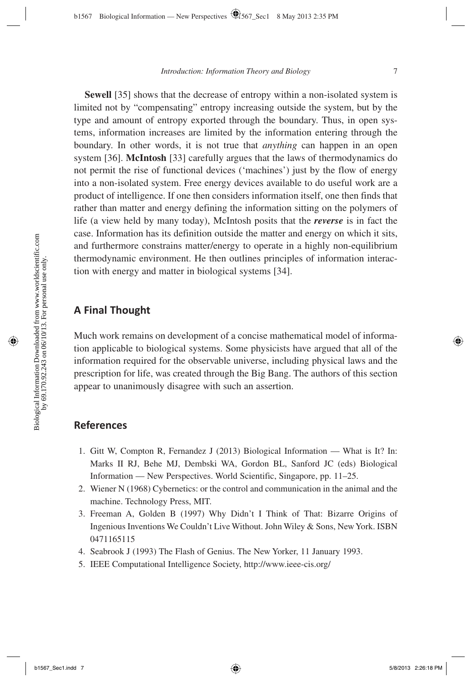**Sewell** [35] shows that the decrease of entropy within a non-isolated system is limited not by "compensating" entropy increasing outside the system, but by the type and amount of entropy exported through the boundary. Thus, in open systems, information increases are limited by the information entering through the boundary. In other words, it is not true that *anything* can happen in an open system [36]. **McIntosh** [33] carefully argues that the laws of thermodynamics do not permit the rise of functional devices ('machines') just by the flow of energy into a non-isolated system. Free energy devices available to do useful work are a product of intelligence. If one then considers information itself, one then finds that rather than matter and energy defining the information sitting on the polymers of life (a view held by many today), McIntosh posits that the *reverse* is in fact the case. Information has its definition outside the matter and energy on which it sits, and furthermore constrains matter/energy to operate in a highly non-equilibrium thermodynamic environment. He then outlines principles of information interaction with energy and matter in biological systems [34].

## **A Final Thought**

Much work remains on development of a concise mathematical model of information applicable to biological systems. Some physicists have argued that all of the information required for the observable universe, including physical laws and the prescription for life, was created through the Big Bang. The authors of this section appear to unanimously disagree with such an assertion.

## **References**

- 1. Gitt W, Compton R, Fernandez J (2013) Biological Information What is It? In: Marks II RJ, Behe MJ, Dembski WA, Gordon BL, Sanford JC (eds) Biological Information — New Perspectives. World Scientific, Singapore, pp. 11–25.
- 2. Wiener N (1968) Cybernetics: or the control and communication in the animal and the machine. Technology Press, MIT.
- 3. Freeman A, Golden B (1997) Why Didn't I Think of That: Bizarre Origins of Ingenious Inventions We Couldn't Live Without. John Wiley & Sons, New York. ISBN 0471165115
- 4. Seabrook J (1993) The Flash of Genius. The New Yorker, 11 January 1993.
- 5. IEEE Computational Intelligence Society, http://www.ieee-cis.org/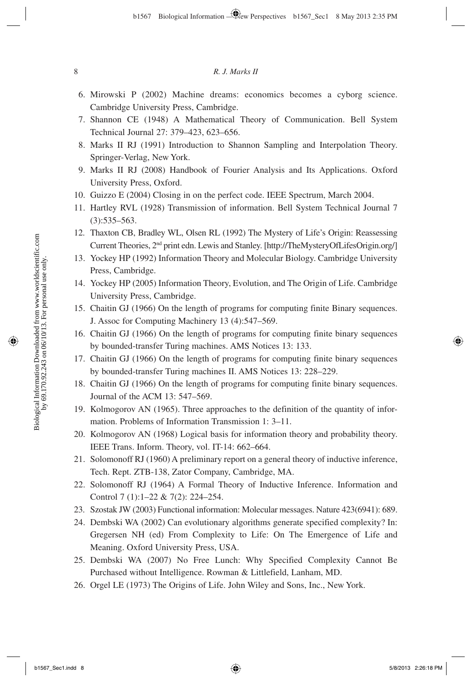- 6. Mirowski P (2002) Machine dreams: economics becomes a cyborg science. Cambridge University Press, Cambridge.
- 7. Shannon CE (1948) A Mathematical Theory of Communication. Bell System Technical Journal 27: 379–423, 623–656.
- 8. Marks II RJ (1991) Introduction to Shannon Sampling and Interpolation Theory. Springer-Verlag, New York.
- 9. Marks II RJ (2008) Handbook of Fourier Analysis and Its Applications. Oxford University Press, Oxford.
- 10. Guizzo E (2004) Closing in on the perfect code. IEEE Spectrum, March 2004.
- 11. Hartley RVL (1928) Transmission of information. Bell System Technical Journal 7 (3):535–563.
- 12. Thaxton CB, Bradley WL, Olsen RL (1992) The Mystery of Life's Origin: Reassessing Current Theories, 2nd print edn. Lewis and Stanley. [http://TheMysteryOfLifesOrigin.org/]
- 13. Yockey HP (1992) Information Theory and Molecular Biology. Cambridge University Press, Cambridge.
- 14. Yockey HP (2005) Information Theory, Evolution, and The Origin of Life. Cambridge University Press, Cambridge.
- 15. Chaitin GJ (1966) On the length of programs for computing finite Binary sequences. J. Assoc for Computing Machinery 13 (4):547–569.
- 16. Chaitin GJ (1966) On the length of programs for computing finite binary sequences by bounded-transfer Turing machines. AMS Notices 13: 133.
- 17. Chaitin GJ (1966) On the length of programs for computing finite binary sequences by bounded-transfer Turing machines II. AMS Notices 13: 228–229.
- 18. Chaitin GJ (1966) On the length of programs for computing finite binary sequences. Journal of the ACM 13: 547–569.
- 19. Kolmogorov AN (1965). Three approaches to the definition of the quantity of information. Problems of Information Transmission 1: 3–11.
- 20. Kolmogorov AN (1968) Logical basis for information theory and probability theory. IEEE Trans. Inform. Theory, vol. IT-14: 662–664.
- 21. Solomonoff RJ (1960) A preliminary report on a general theory of inductive inference, Tech. Rept. ZTB-138, Zator Company, Cambridge, MA.
- 22. Solomonoff RJ (1964) A Formal Theory of Inductive Inference. Information and Control 7 (1):1-22 & 7(2): 224-254.
- 23. Szostak JW (2003) Functional information: Molecular messages. Nature 423(6941): 689.
- 24. Dembski WA (2002) Can evolutionary algorithms generate specified complexity? In: Gregersen NH (ed) From Complexity to Life: On The Emergence of Life and Meaning. Oxford University Press, USA.
- 25. Dembski WA (2007) No Free Lunch: Why Specified Complexity Cannot Be Purchased without Intelligence. Rowman & Littlefield, Lanham, MD.
- 26. Orgel LE (1973) The Origins of Life. John Wiley and Sons, Inc., New York.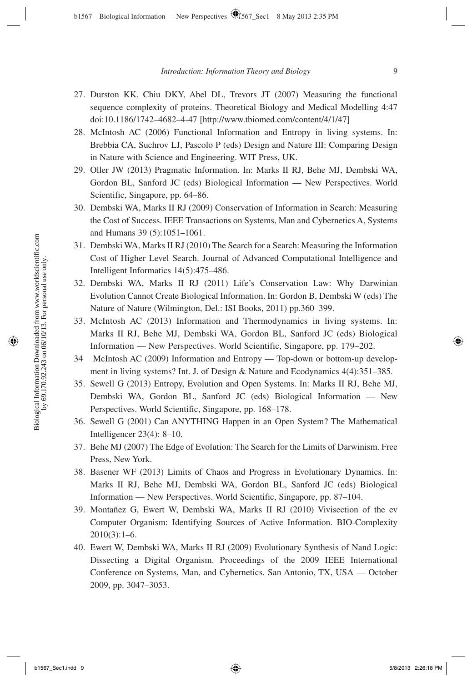- 27. Durston KK, Chiu DKY, Abel DL, Trevors JT (2007) Measuring the functional sequence complexity of proteins. Theoretical Biology and Medical Modelling 4:47 doi:10.1186/1742–4682–4-47 [http://www.tbiomed.com/content/4/1/47]
- 28. McIntosh AC (2006) Functional Information and Entropy in living systems. In: Brebbia CA, Suchrov LJ, Pascolo P (eds) Design and Nature III: Comparing Design in Nature with Science and Engineering. WIT Press, UK.
- 29. Oller JW (2013) Pragmatic Information. In: Marks II RJ, Behe MJ, Dembski WA, Gordon BL, Sanford JC (eds) Biological Information — New Perspectives. World Scientific, Singapore, pp. 64–86.
- 30. Dembski WA, Marks II RJ (2009) Conservation of Information in Search: Measuring the Cost of Success. IEEE Transactions on Systems, Man and Cybernetics A, Systems and Humans 39 (5):1051–1061.
- 31. Dembski WA, Marks II RJ (2010) The Search for a Search: Measuring the Information Cost of Higher Level Search. Journal of Advanced Computational Intelligence and Intelligent Informatics 14(5):475–486.
- 32. Dembski WA, Marks II RJ (2011) Life's Conservation Law: Why Darwinian Evolution Cannot Create Biological Information. In: Gordon B, Dembski W (eds) The Nature of Nature (Wilmington, Del.: ISI Books, 2011) pp.360–399.
- 33. McIntosh AC (2013) Information and Thermodynamics in living systems. In: Marks II RJ, Behe MJ, Dembski WA, Gordon BL, Sanford JC (eds) Biological Information — New Perspectives. World Scientific, Singapore, pp. 179–202.
- 34 McIntosh AC (2009) Information and Entropy Top-down or bottom-up development in living systems? Int. J. of Design & Nature and Ecodynamics 4(4):351–385.
- 35. Sewell G (2013) Entropy, Evolution and Open Systems. In: Marks II RJ, Behe MJ, Dembski WA, Gordon BL, Sanford JC (eds) Biological Information — New Perspectives. World Scientific, Singapore, pp. 168–178.
- 36. Sewell G (2001) Can ANYTHING Happen in an Open System? The Mathematical Intelligencer 23(4): 8–10.
- 37. Behe MJ (2007) The Edge of Evolution: The Search for the Limits of Darwinism. Free Press, New York.
- 38. Basener WF (2013) Limits of Chaos and Progress in Evolutionary Dynamics. In: Marks II RJ, Behe MJ, Dembski WA, Gordon BL, Sanford JC (eds) Biological Information — New Perspectives. World Scientific, Singapore, pp. 87–104.
- 39. Montañez G, Ewert W, Dembski WA, Marks II RJ (2010) Vivisection of the ev Computer Organism: Identifying Sources of Active Information. BIO-Complexity 2010(3):1–6.
- 40. Ewert W, Dembski WA, Marks II RJ (2009) Evolutionary Synthesis of Nand Logic: Dissecting a Digital Organism. Proceedings of the 2009 IEEE International Conference on Systems, Man, and Cybernetics. San Antonio, TX, USA — October 2009, pp. 3047–3053.